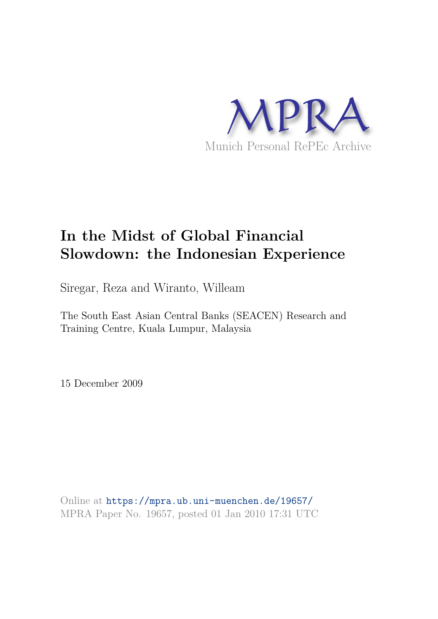

# **In the Midst of Global Financial Slowdown: the Indonesian Experience**

Siregar, Reza and Wiranto, Willeam

The South East Asian Central Banks (SEACEN) Research and Training Centre, Kuala Lumpur, Malaysia

15 December 2009

Online at https://mpra.ub.uni-muenchen.de/19657/ MPRA Paper No. 19657, posted 01 Jan 2010 17:31 UTC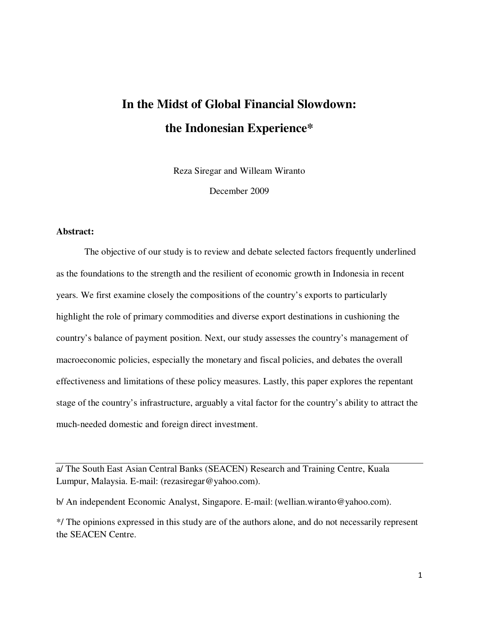## **In the Midst of Global Financial Slowdown: the Indonesian Experience\***

Reza Siregar and Willeam Wiranto

December 2009

#### **Abstract:**

The objective of our study is to review and debate selected factors frequently underlined as the foundations to the strength and the resilient of economic growth in Indonesia in recent years. We first examine closely the compositions of the country's exports to particularly highlight the role of primary commodities and diverse export destinations in cushioning the country's balance of payment position. Next, our study assesses the country's management of macroeconomic policies, especially the monetary and fiscal policies, and debates the overall effectiveness and limitations of these policy measures. Lastly, this paper explores the repentant stage of the country's infrastructure, arguably a vital factor for the country's ability to attract the much-needed domestic and foreign direct investment.

a/ The South East Asian Central Banks (SEACEN) Research and Training Centre, Kuala Lumpur, Malaysia. E-mail: (rezasiregar@yahoo.com).

b/ An independent Economic Analyst, Singapore. E-mail: (wellian.wiranto@yahoo.com).

\*/ The opinions expressed in this study are of the authors alone, and do not necessarily represent the SEACEN Centre.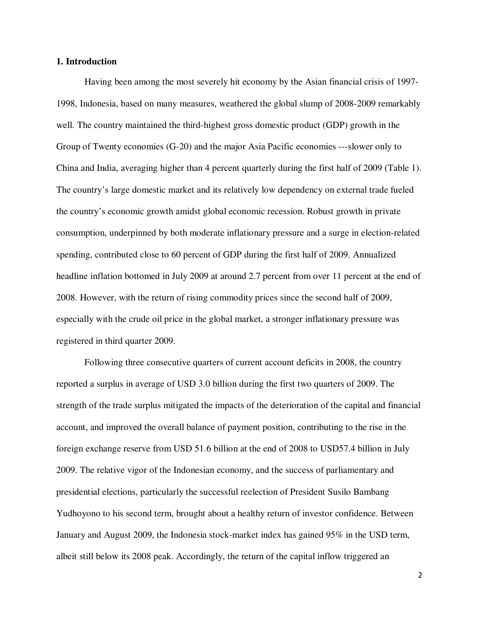#### **1. Introduction**

Having been among the most severely hit economy by the Asian financial crisis of 1997- 1998, Indonesia, based on many measures, weathered the global slump of 2008-2009 remarkably well. The country maintained the third-highest gross domestic product (GDP) growth in the Group of Twenty economies (G-20) and the major Asia Pacific economies ---slower only to China and India, averaging higher than 4 percent quarterly during the first half of 2009 (Table 1). The country's large domestic market and its relatively low dependency on external trade fueled the country's economic growth amidst global economic recession. Robust growth in private consumption, underpinned by both moderate inflationary pressure and a surge in election-related spending, contributed close to 60 percent of GDP during the first half of 2009. Annualized headline inflation bottomed in July 2009 at around 2.7 percent from over 11 percent at the end of 2008. However, with the return of rising commodity prices since the second half of 2009, especially with the crude oil price in the global market, a stronger inflationary pressure was registered in third quarter 2009.

Following three consecutive quarters of current account deficits in 2008, the country reported a surplus in average of USD 3.0 billion during the first two quarters of 2009. The strength of the trade surplus mitigated the impacts of the deterioration of the capital and financial account, and improved the overall balance of payment position, contributing to the rise in the foreign exchange reserve from USD 51.6 billion at the end of 2008 to USD57.4 billion in July 2009. The relative vigor of the Indonesian economy, and the success of parliamentary and presidential elections, particularly the successful reelection of President Susilo Bambang Yudhoyono to his second term, brought about a healthy return of investor confidence. Between January and August 2009, the Indonesia stock-market index has gained 95% in the USD term, albeit still below its 2008 peak. Accordingly, the return of the capital inflow triggered an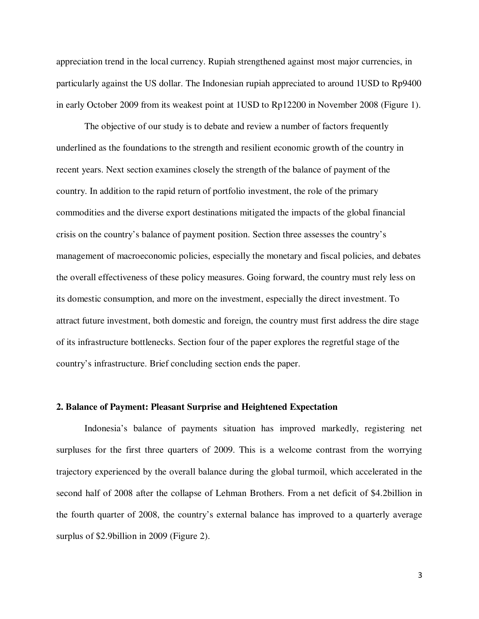appreciation trend in the local currency. Rupiah strengthened against most major currencies, in particularly against the US dollar. The Indonesian rupiah appreciated to around 1USD to Rp9400 in early October 2009 from its weakest point at 1USD to Rp12200 in November 2008 (Figure 1).

The objective of our study is to debate and review a number of factors frequently underlined as the foundations to the strength and resilient economic growth of the country in recent years. Next section examines closely the strength of the balance of payment of the country. In addition to the rapid return of portfolio investment, the role of the primary commodities and the diverse export destinations mitigated the impacts of the global financial crisis on the country's balance of payment position. Section three assesses the country's management of macroeconomic policies, especially the monetary and fiscal policies, and debates the overall effectiveness of these policy measures. Going forward, the country must rely less on its domestic consumption, and more on the investment, especially the direct investment. To attract future investment, both domestic and foreign, the country must first address the dire stage of its infrastructure bottlenecks. Section four of the paper explores the regretful stage of the country's infrastructure. Brief concluding section ends the paper.

#### **2. Balance of Payment: Pleasant Surprise and Heightened Expectation**

Indonesia's balance of payments situation has improved markedly, registering net surpluses for the first three quarters of 2009. This is a welcome contrast from the worrying trajectory experienced by the overall balance during the global turmoil, which accelerated in the second half of 2008 after the collapse of Lehman Brothers. From a net deficit of \$4.2billion in the fourth quarter of 2008, the country's external balance has improved to a quarterly average surplus of \$2.9billion in 2009 (Figure 2).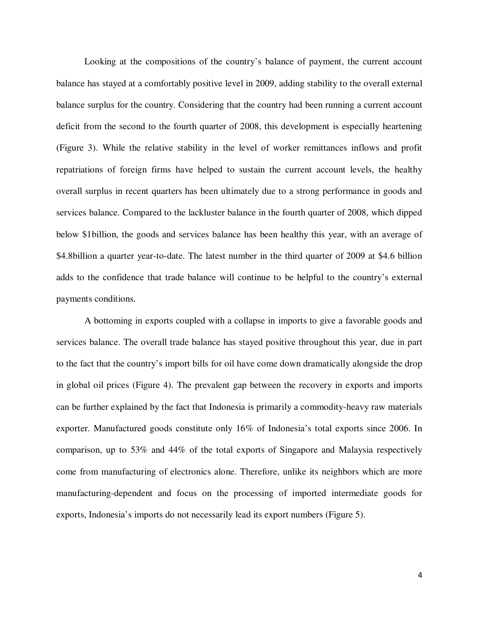Looking at the compositions of the country's balance of payment, the current account balance has stayed at a comfortably positive level in 2009, adding stability to the overall external balance surplus for the country. Considering that the country had been running a current account deficit from the second to the fourth quarter of 2008, this development is especially heartening (Figure 3). While the relative stability in the level of worker remittances inflows and profit repatriations of foreign firms have helped to sustain the current account levels, the healthy overall surplus in recent quarters has been ultimately due to a strong performance in goods and services balance. Compared to the lackluster balance in the fourth quarter of 2008, which dipped below \$1billion, the goods and services balance has been healthy this year, with an average of \$4.8billion a quarter year-to-date. The latest number in the third quarter of 2009 at \$4.6 billion adds to the confidence that trade balance will continue to be helpful to the country's external payments conditions.

A bottoming in exports coupled with a collapse in imports to give a favorable goods and services balance. The overall trade balance has stayed positive throughout this year, due in part to the fact that the country's import bills for oil have come down dramatically alongside the drop in global oil prices (Figure 4). The prevalent gap between the recovery in exports and imports can be further explained by the fact that Indonesia is primarily a commodity-heavy raw materials exporter. Manufactured goods constitute only 16% of Indonesia's total exports since 2006. In comparison, up to 53% and 44% of the total exports of Singapore and Malaysia respectively come from manufacturing of electronics alone. Therefore, unlike its neighbors which are more manufacturing-dependent and focus on the processing of imported intermediate goods for exports, Indonesia's imports do not necessarily lead its export numbers (Figure 5).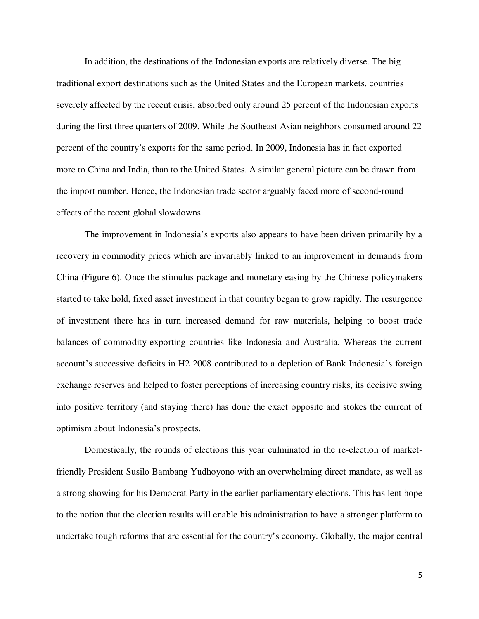In addition, the destinations of the Indonesian exports are relatively diverse. The big traditional export destinations such as the United States and the European markets, countries severely affected by the recent crisis, absorbed only around 25 percent of the Indonesian exports during the first three quarters of 2009. While the Southeast Asian neighbors consumed around 22 percent of the country's exports for the same period. In 2009, Indonesia has in fact exported more to China and India, than to the United States. A similar general picture can be drawn from the import number. Hence, the Indonesian trade sector arguably faced more of second-round effects of the recent global slowdowns.

The improvement in Indonesia's exports also appears to have been driven primarily by a recovery in commodity prices which are invariably linked to an improvement in demands from China (Figure 6). Once the stimulus package and monetary easing by the Chinese policymakers started to take hold, fixed asset investment in that country began to grow rapidly. The resurgence of investment there has in turn increased demand for raw materials, helping to boost trade balances of commodity-exporting countries like Indonesia and Australia. Whereas the current account's successive deficits in H2 2008 contributed to a depletion of Bank Indonesia's foreign exchange reserves and helped to foster perceptions of increasing country risks, its decisive swing into positive territory (and staying there) has done the exact opposite and stokes the current of optimism about Indonesia's prospects.

Domestically, the rounds of elections this year culminated in the re-election of marketfriendly President Susilo Bambang Yudhoyono with an overwhelming direct mandate, as well as a strong showing for his Democrat Party in the earlier parliamentary elections. This has lent hope to the notion that the election results will enable his administration to have a stronger platform to undertake tough reforms that are essential for the country's economy. Globally, the major central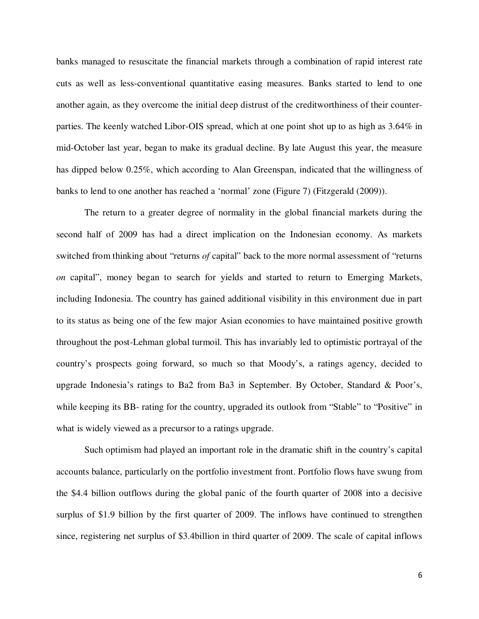banks managed to resuscitate the financial markets through a combination of rapid interest rate cuts as well as less-conventional quantitative easing measures. Banks started to lend to one another again, as they overcome the initial deep distrust of the creditworthiness of their counterparties. The keenly watched Libor-OIS spread, which at one point shot up to as high as 3.64% in mid-October last year, began to make its gradual decline. By late August this year, the measure has dipped below 0.25%, which according to Alan Greenspan, indicated that the willingness of banks to lend to one another has reached a 'normal' zone (Figure 7) (Fitzgerald (2009)).

The return to a greater degree of normality in the global financial markets during the second half of 2009 has had a direct implication on the Indonesian economy. As markets switched from thinking about "returns *of* capital" back to the more normal assessment of "returns *on* capital", money began to search for yields and started to return to Emerging Markets, including Indonesia. The country has gained additional visibility in this environment due in part to its status as being one of the few major Asian economies to have maintained positive growth throughout the post-Lehman global turmoil. This has invariably led to optimistic portrayal of the country's prospects going forward, so much so that Moody's, a ratings agency, decided to upgrade Indonesia's ratings to Ba2 from Ba3 in September. By October, Standard & Poor's, while keeping its BB- rating for the country, upgraded its outlook from "Stable" to "Positive" in what is widely viewed as a precursor to a ratings upgrade.

Such optimism had played an important role in the dramatic shift in the country's capital accounts balance, particularly on the portfolio investment front. Portfolio flows have swung from the \$4.4 billion outflows during the global panic of the fourth quarter of 2008 into a decisive surplus of \$1.9 billion by the first quarter of 2009. The inflows have continued to strengthen since, registering net surplus of \$3.4billion in third quarter of 2009. The scale of capital inflows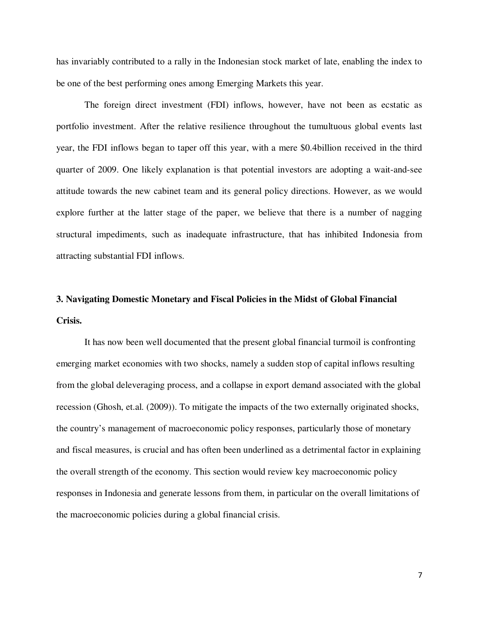has invariably contributed to a rally in the Indonesian stock market of late, enabling the index to be one of the best performing ones among Emerging Markets this year.

The foreign direct investment (FDI) inflows, however, have not been as ecstatic as portfolio investment. After the relative resilience throughout the tumultuous global events last year, the FDI inflows began to taper off this year, with a mere \$0.4billion received in the third quarter of 2009. One likely explanation is that potential investors are adopting a wait-and-see attitude towards the new cabinet team and its general policy directions. However, as we would explore further at the latter stage of the paper, we believe that there is a number of nagging structural impediments, such as inadequate infrastructure, that has inhibited Indonesia from attracting substantial FDI inflows.

### **3. Navigating Domestic Monetary and Fiscal Policies in the Midst of Global Financial Crisis.**

It has now been well documented that the present global financial turmoil is confronting emerging market economies with two shocks, namely a sudden stop of capital inflows resulting from the global deleveraging process, and a collapse in export demand associated with the global recession (Ghosh, et.al. (2009)). To mitigate the impacts of the two externally originated shocks, the country's management of macroeconomic policy responses, particularly those of monetary and fiscal measures, is crucial and has often been underlined as a detrimental factor in explaining the overall strength of the economy. This section would review key macroeconomic policy responses in Indonesia and generate lessons from them, in particular on the overall limitations of the macroeconomic policies during a global financial crisis.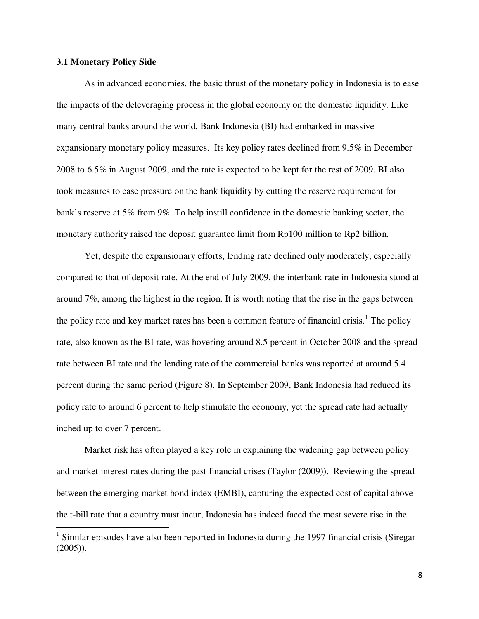#### **3.1 Monetary Policy Side**

<u>.</u>

As in advanced economies, the basic thrust of the monetary policy in Indonesia is to ease the impacts of the deleveraging process in the global economy on the domestic liquidity. Like many central banks around the world, Bank Indonesia (BI) had embarked in massive expansionary monetary policy measures. Its key policy rates declined from 9.5% in December 2008 to 6.5% in August 2009, and the rate is expected to be kept for the rest of 2009. BI also took measures to ease pressure on the bank liquidity by cutting the reserve requirement for bank's reserve at 5% from 9%. To help instill confidence in the domestic banking sector, the monetary authority raised the deposit guarantee limit from Rp100 million to Rp2 billion.

Yet, despite the expansionary efforts, lending rate declined only moderately, especially compared to that of deposit rate. At the end of July 2009, the interbank rate in Indonesia stood at around 7%, among the highest in the region. It is worth noting that the rise in the gaps between the policy rate and key market rates has been a common feature of financial crisis.<sup>1</sup> The policy rate, also known as the BI rate, was hovering around 8.5 percent in October 2008 and the spread rate between BI rate and the lending rate of the commercial banks was reported at around 5.4 percent during the same period (Figure 8). In September 2009, Bank Indonesia had reduced its policy rate to around 6 percent to help stimulate the economy, yet the spread rate had actually inched up to over 7 percent.

Market risk has often played a key role in explaining the widening gap between policy and market interest rates during the past financial crises (Taylor (2009)). Reviewing the spread between the emerging market bond index (EMBI), capturing the expected cost of capital above the t-bill rate that a country must incur, Indonesia has indeed faced the most severe rise in the

<sup>&</sup>lt;sup>1</sup> Similar episodes have also been reported in Indonesia during the 1997 financial crisis (Siregar (2005)).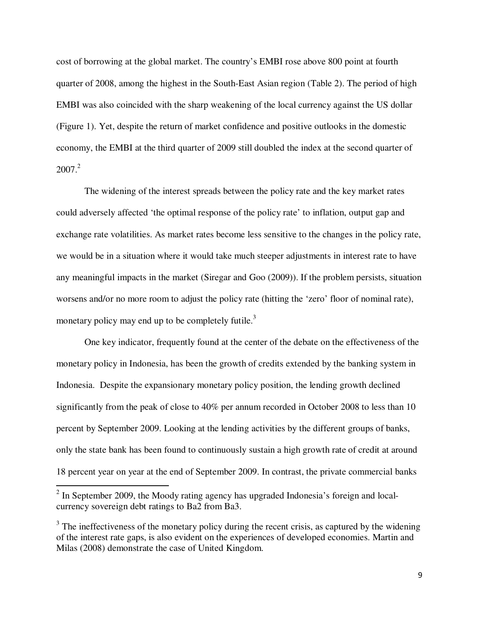cost of borrowing at the global market. The country's EMBI rose above 800 point at fourth quarter of 2008, among the highest in the South-East Asian region (Table 2). The period of high EMBI was also coincided with the sharp weakening of the local currency against the US dollar (Figure 1). Yet, despite the return of market confidence and positive outlooks in the domestic economy, the EMBI at the third quarter of 2009 still doubled the index at the second quarter of  $2007<sup>2</sup>$ 

The widening of the interest spreads between the policy rate and the key market rates could adversely affected 'the optimal response of the policy rate' to inflation, output gap and exchange rate volatilities. As market rates become less sensitive to the changes in the policy rate, we would be in a situation where it would take much steeper adjustments in interest rate to have any meaningful impacts in the market (Siregar and Goo (2009)). If the problem persists, situation worsens and/or no more room to adjust the policy rate (hitting the 'zero' floor of nominal rate), monetary policy may end up to be completely futile.<sup>3</sup>

One key indicator, frequently found at the center of the debate on the effectiveness of the monetary policy in Indonesia, has been the growth of credits extended by the banking system in Indonesia. Despite the expansionary monetary policy position, the lending growth declined significantly from the peak of close to 40% per annum recorded in October 2008 to less than 10 percent by September 2009. Looking at the lending activities by the different groups of banks, only the state bank has been found to continuously sustain a high growth rate of credit at around 18 percent year on year at the end of September 2009. In contrast, the private commercial banks

<u>.</u>

 $2$  In September 2009, the Moody rating agency has upgraded Indonesia's foreign and localcurrency sovereign debt ratings to Ba2 from Ba3.

 $3$  The ineffectiveness of the monetary policy during the recent crisis, as captured by the widening of the interest rate gaps, is also evident on the experiences of developed economies. Martin and Milas (2008) demonstrate the case of United Kingdom.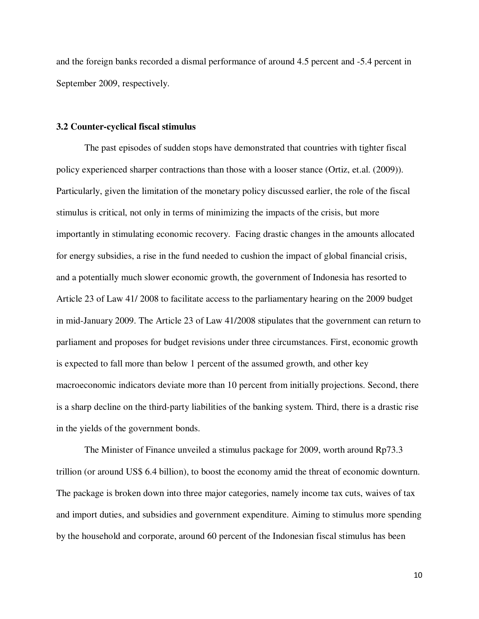and the foreign banks recorded a dismal performance of around 4.5 percent and -5.4 percent in September 2009, respectively.

#### **3.2 Counter-cyclical fiscal stimulus**

The past episodes of sudden stops have demonstrated that countries with tighter fiscal policy experienced sharper contractions than those with a looser stance (Ortiz, et.al. (2009)). Particularly, given the limitation of the monetary policy discussed earlier, the role of the fiscal stimulus is critical, not only in terms of minimizing the impacts of the crisis, but more importantly in stimulating economic recovery. Facing drastic changes in the amounts allocated for energy subsidies, a rise in the fund needed to cushion the impact of global financial crisis, and a potentially much slower economic growth, the government of Indonesia has resorted to Article 23 of Law 41/ 2008 to facilitate access to the parliamentary hearing on the 2009 budget in mid-January 2009. The Article 23 of Law 41/2008 stipulates that the government can return to parliament and proposes for budget revisions under three circumstances. First, economic growth is expected to fall more than below 1 percent of the assumed growth, and other key macroeconomic indicators deviate more than 10 percent from initially projections. Second, there is a sharp decline on the third-party liabilities of the banking system. Third, there is a drastic rise in the yields of the government bonds.

The Minister of Finance unveiled a stimulus package for 2009, worth around Rp73.3 trillion (or around US\$ 6.4 billion), to boost the economy amid the threat of economic downturn. The package is broken down into three major categories, namely income tax cuts, waives of tax and import duties, and subsidies and government expenditure. Aiming to stimulus more spending by the household and corporate, around 60 percent of the Indonesian fiscal stimulus has been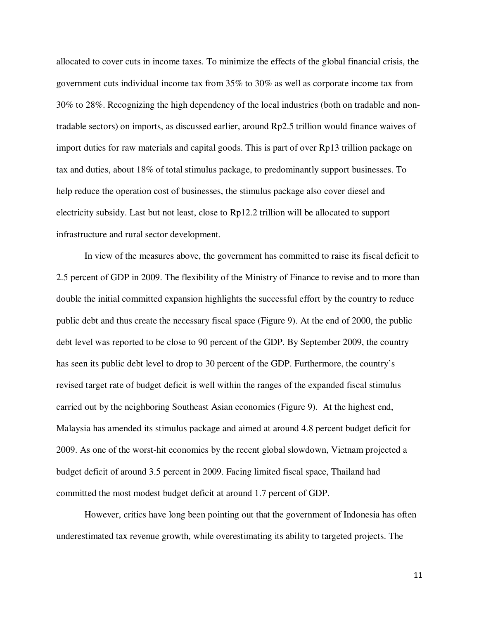allocated to cover cuts in income taxes. To minimize the effects of the global financial crisis, the government cuts individual income tax from 35% to 30% as well as corporate income tax from 30% to 28%. Recognizing the high dependency of the local industries (both on tradable and nontradable sectors) on imports, as discussed earlier, around Rp2.5 trillion would finance waives of import duties for raw materials and capital goods. This is part of over Rp13 trillion package on tax and duties, about 18% of total stimulus package, to predominantly support businesses. To help reduce the operation cost of businesses, the stimulus package also cover diesel and electricity subsidy. Last but not least, close to Rp12.2 trillion will be allocated to support infrastructure and rural sector development.

In view of the measures above, the government has committed to raise its fiscal deficit to 2.5 percent of GDP in 2009. The flexibility of the Ministry of Finance to revise and to more than double the initial committed expansion highlights the successful effort by the country to reduce public debt and thus create the necessary fiscal space (Figure 9). At the end of 2000, the public debt level was reported to be close to 90 percent of the GDP. By September 2009, the country has seen its public debt level to drop to 30 percent of the GDP. Furthermore, the country's revised target rate of budget deficit is well within the ranges of the expanded fiscal stimulus carried out by the neighboring Southeast Asian economies (Figure 9). At the highest end, Malaysia has amended its stimulus package and aimed at around 4.8 percent budget deficit for 2009. As one of the worst-hit economies by the recent global slowdown, Vietnam projected a budget deficit of around 3.5 percent in 2009. Facing limited fiscal space, Thailand had committed the most modest budget deficit at around 1.7 percent of GDP.

However, critics have long been pointing out that the government of Indonesia has often underestimated tax revenue growth, while overestimating its ability to targeted projects. The

11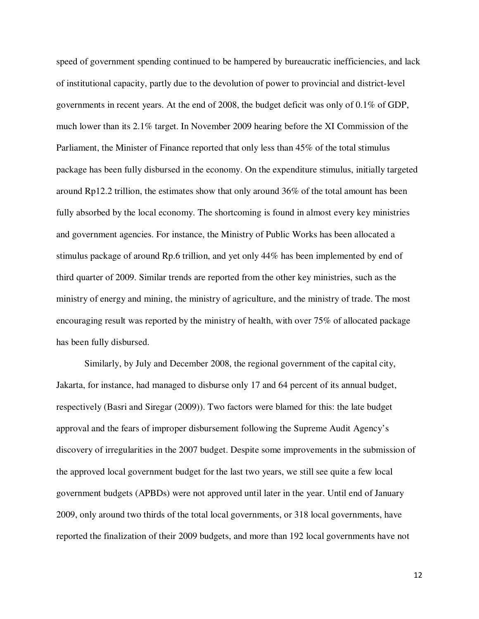speed of government spending continued to be hampered by bureaucratic inefficiencies, and lack of institutional capacity, partly due to the devolution of power to provincial and district-level governments in recent years. At the end of 2008, the budget deficit was only of 0.1% of GDP, much lower than its 2.1% target. In November 2009 hearing before the XI Commission of the Parliament, the Minister of Finance reported that only less than 45% of the total stimulus package has been fully disbursed in the economy. On the expenditure stimulus, initially targeted around Rp12.2 trillion, the estimates show that only around 36% of the total amount has been fully absorbed by the local economy. The shortcoming is found in almost every key ministries and government agencies. For instance, the Ministry of Public Works has been allocated a stimulus package of around Rp.6 trillion, and yet only 44% has been implemented by end of third quarter of 2009. Similar trends are reported from the other key ministries, such as the ministry of energy and mining, the ministry of agriculture, and the ministry of trade. The most encouraging result was reported by the ministry of health, with over 75% of allocated package has been fully disbursed.

Similarly, by July and December 2008, the regional government of the capital city, Jakarta, for instance, had managed to disburse only 17 and 64 percent of its annual budget, respectively (Basri and Siregar (2009)). Two factors were blamed for this: the late budget approval and the fears of improper disbursement following the Supreme Audit Agency's discovery of irregularities in the 2007 budget. Despite some improvements in the submission of the approved local government budget for the last two years, we still see quite a few local government budgets (APBDs) were not approved until later in the year. Until end of January 2009, only around two thirds of the total local governments, or 318 local governments, have reported the finalization of their 2009 budgets, and more than 192 local governments have not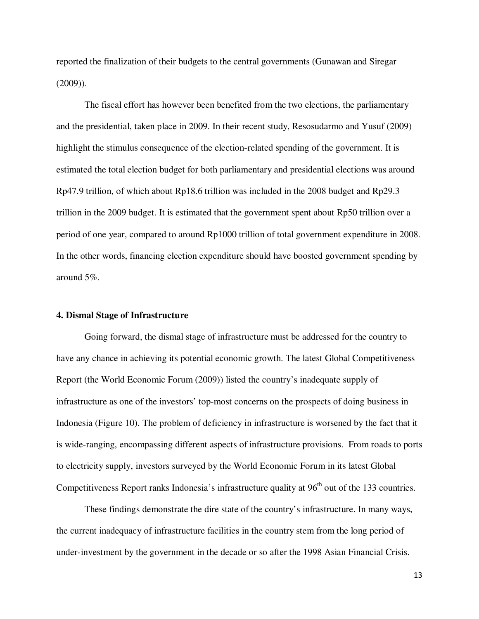reported the finalization of their budgets to the central governments (Gunawan and Siregar (2009)).

The fiscal effort has however been benefited from the two elections, the parliamentary and the presidential, taken place in 2009. In their recent study, Resosudarmo and Yusuf (2009) highlight the stimulus consequence of the election-related spending of the government. It is estimated the total election budget for both parliamentary and presidential elections was around Rp47.9 trillion, of which about Rp18.6 trillion was included in the 2008 budget and Rp29.3 trillion in the 2009 budget. It is estimated that the government spent about Rp50 trillion over a period of one year, compared to around Rp1000 trillion of total government expenditure in 2008. In the other words, financing election expenditure should have boosted government spending by around 5%.

#### **4. Dismal Stage of Infrastructure**

Going forward, the dismal stage of infrastructure must be addressed for the country to have any chance in achieving its potential economic growth. The latest Global Competitiveness Report (the World Economic Forum (2009)) listed the country's inadequate supply of infrastructure as one of the investors' top-most concerns on the prospects of doing business in Indonesia (Figure 10). The problem of deficiency in infrastructure is worsened by the fact that it is wide-ranging, encompassing different aspects of infrastructure provisions. From roads to ports to electricity supply, investors surveyed by the World Economic Forum in its latest Global Competitiveness Report ranks Indonesia's infrastructure quality at  $96<sup>th</sup>$  out of the 133 countries.

These findings demonstrate the dire state of the country's infrastructure. In many ways, the current inadequacy of infrastructure facilities in the country stem from the long period of under-investment by the government in the decade or so after the 1998 Asian Financial Crisis.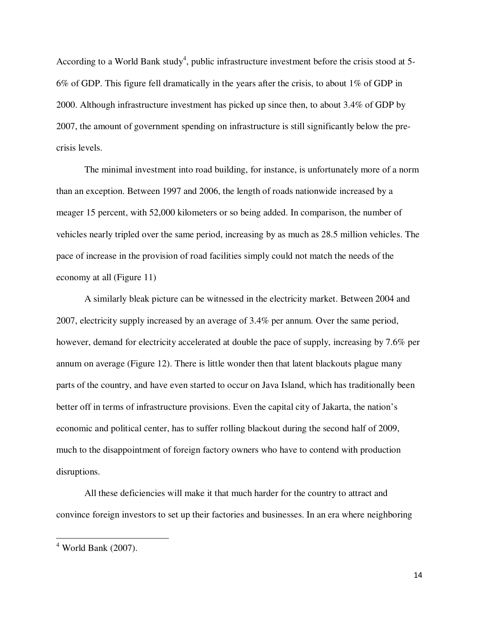According to a World Bank study<sup>4</sup>, public infrastructure investment before the crisis stood at 5-6% of GDP. This figure fell dramatically in the years after the crisis, to about 1% of GDP in 2000. Although infrastructure investment has picked up since then, to about 3.4% of GDP by 2007, the amount of government spending on infrastructure is still significantly below the precrisis levels.

The minimal investment into road building, for instance, is unfortunately more of a norm than an exception. Between 1997 and 2006, the length of roads nationwide increased by a meager 15 percent, with 52,000 kilometers or so being added. In comparison, the number of vehicles nearly tripled over the same period, increasing by as much as 28.5 million vehicles. The pace of increase in the provision of road facilities simply could not match the needs of the economy at all (Figure 11)

A similarly bleak picture can be witnessed in the electricity market. Between 2004 and 2007, electricity supply increased by an average of 3.4% per annum. Over the same period, however, demand for electricity accelerated at double the pace of supply, increasing by 7.6% per annum on average (Figure 12). There is little wonder then that latent blackouts plague many parts of the country, and have even started to occur on Java Island, which has traditionally been better off in terms of infrastructure provisions. Even the capital city of Jakarta, the nation's economic and political center, has to suffer rolling blackout during the second half of 2009, much to the disappointment of foreign factory owners who have to contend with production disruptions.

All these deficiencies will make it that much harder for the country to attract and convince foreign investors to set up their factories and businesses. In an era where neighboring

<u>.</u>

<sup>4</sup> World Bank (2007).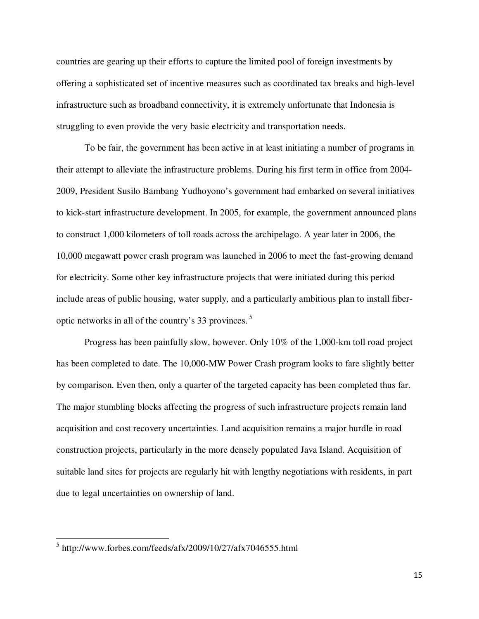countries are gearing up their efforts to capture the limited pool of foreign investments by offering a sophisticated set of incentive measures such as coordinated tax breaks and high-level infrastructure such as broadband connectivity, it is extremely unfortunate that Indonesia is struggling to even provide the very basic electricity and transportation needs.

To be fair, the government has been active in at least initiating a number of programs in their attempt to alleviate the infrastructure problems. During his first term in office from 2004- 2009, President Susilo Bambang Yudhoyono's government had embarked on several initiatives to kick-start infrastructure development. In 2005, for example, the government announced plans to construct 1,000 kilometers of toll roads across the archipelago. A year later in 2006, the 10,000 megawatt power crash program was launched in 2006 to meet the fast-growing demand for electricity. Some other key infrastructure projects that were initiated during this period include areas of public housing, water supply, and a particularly ambitious plan to install fiberoptic networks in all of the country's 33 provinces.<sup>5</sup>

Progress has been painfully slow, however. Only 10% of the 1,000-km toll road project has been completed to date. The 10,000-MW Power Crash program looks to fare slightly better by comparison. Even then, only a quarter of the targeted capacity has been completed thus far. The major stumbling blocks affecting the progress of such infrastructure projects remain land acquisition and cost recovery uncertainties. Land acquisition remains a major hurdle in road construction projects, particularly in the more densely populated Java Island. Acquisition of suitable land sites for projects are regularly hit with lengthy negotiations with residents, in part due to legal uncertainties on ownership of land.

 $\overline{a}$ 

<sup>5</sup> http://www.forbes.com/feeds/afx/2009/10/27/afx7046555.html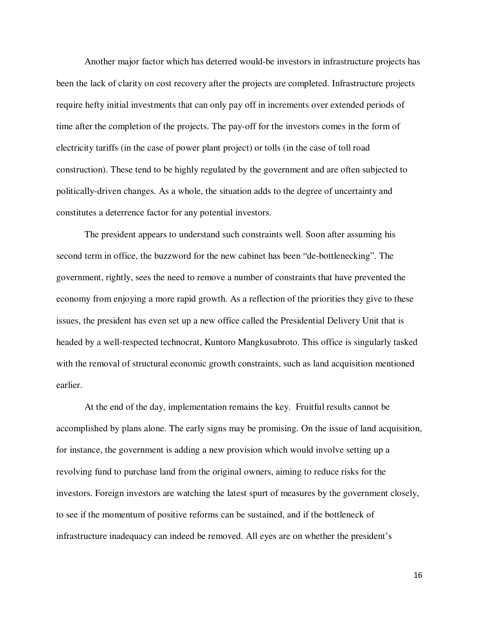Another major factor which has deterred would-be investors in infrastructure projects has been the lack of clarity on cost recovery after the projects are completed. Infrastructure projects require hefty initial investments that can only pay off in increments over extended periods of time after the completion of the projects. The pay-off for the investors comes in the form of electricity tariffs (in the case of power plant project) or tolls (in the case of toll road construction). These tend to be highly regulated by the government and are often subjected to politically-driven changes. As a whole, the situation adds to the degree of uncertainty and constitutes a deterrence factor for any potential investors.

The president appears to understand such constraints well. Soon after assuming his second term in office, the buzzword for the new cabinet has been "de-bottlenecking". The government, rightly, sees the need to remove a number of constraints that have prevented the economy from enjoying a more rapid growth. As a reflection of the priorities they give to these issues, the president has even set up a new office called the Presidential Delivery Unit that is headed by a well-respected technocrat, Kuntoro Mangkusubroto. This office is singularly tasked with the removal of structural economic growth constraints, such as land acquisition mentioned earlier.

At the end of the day, implementation remains the key. Fruitful results cannot be accomplished by plans alone. The early signs may be promising. On the issue of land acquisition, for instance, the government is adding a new provision which would involve setting up a revolving fund to purchase land from the original owners, aiming to reduce risks for the investors. Foreign investors are watching the latest spurt of measures by the government closely, to see if the momentum of positive reforms can be sustained, and if the bottleneck of infrastructure inadequacy can indeed be removed. All eyes are on whether the president's

16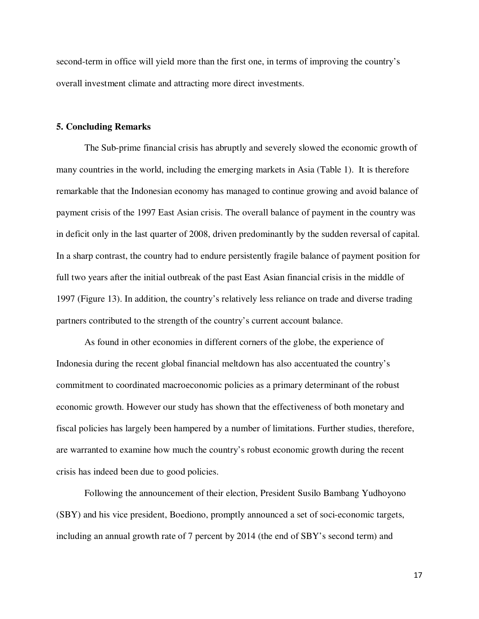second-term in office will yield more than the first one, in terms of improving the country's overall investment climate and attracting more direct investments.

#### **5. Concluding Remarks**

 The Sub-prime financial crisis has abruptly and severely slowed the economic growth of many countries in the world, including the emerging markets in Asia (Table 1). It is therefore remarkable that the Indonesian economy has managed to continue growing and avoid balance of payment crisis of the 1997 East Asian crisis. The overall balance of payment in the country was in deficit only in the last quarter of 2008, driven predominantly by the sudden reversal of capital. In a sharp contrast, the country had to endure persistently fragile balance of payment position for full two years after the initial outbreak of the past East Asian financial crisis in the middle of 1997 (Figure 13). In addition, the country's relatively less reliance on trade and diverse trading partners contributed to the strength of the country's current account balance.

 As found in other economies in different corners of the globe, the experience of Indonesia during the recent global financial meltdown has also accentuated the country's commitment to coordinated macroeconomic policies as a primary determinant of the robust economic growth. However our study has shown that the effectiveness of both monetary and fiscal policies has largely been hampered by a number of limitations. Further studies, therefore, are warranted to examine how much the country's robust economic growth during the recent crisis has indeed been due to good policies.

 Following the announcement of their election, President Susilo Bambang Yudhoyono (SBY) and his vice president, Boediono, promptly announced a set of soci-economic targets, including an annual growth rate of 7 percent by 2014 (the end of SBY's second term) and

17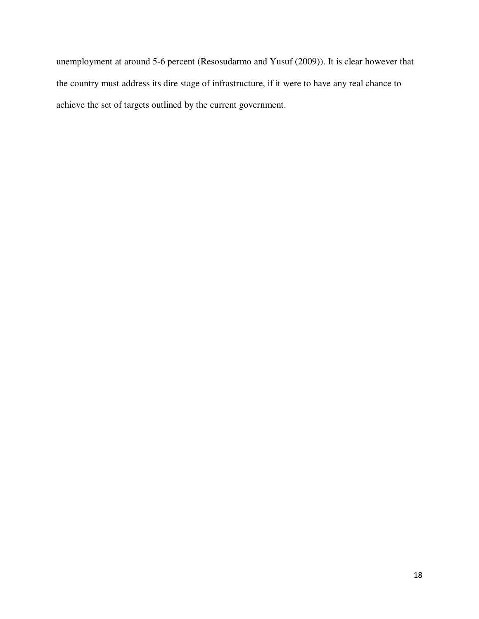unemployment at around 5-6 percent (Resosudarmo and Yusuf (2009)). It is clear however that the country must address its dire stage of infrastructure, if it were to have any real chance to achieve the set of targets outlined by the current government.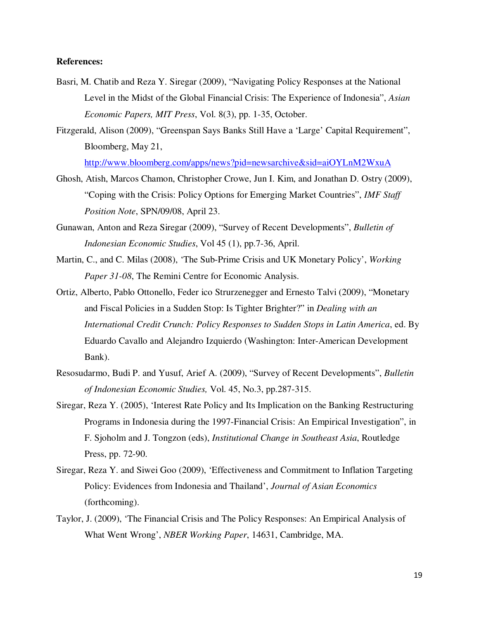#### **References:**

- Basri, M. Chatib and Reza Y. Siregar (2009), "Navigating Policy Responses at the National Level in the Midst of the Global Financial Crisis: The Experience of Indonesia", *Asian Economic Papers, MIT Press*, Vol. 8(3), pp. 1-35, October.
- Fitzgerald, Alison (2009), "Greenspan Says Banks Still Have a 'Large' Capital Requirement", Bloomberg, May 21,

http://www.bloomberg.com/apps/news?pid=newsarchive&sid=aiOYLnM2WxuA

- Ghosh, Atish, Marcos Chamon, Christopher Crowe, Jun I. Kim, and Jonathan D. Ostry (2009), "Coping with the Crisis: Policy Options for Emerging Market Countries", *IMF Staff Position Note*, SPN/09/08, April 23.
- Gunawan, Anton and Reza Siregar (2009), "Survey of Recent Developments", *Bulletin of Indonesian Economic Studies*, Vol 45 (1), pp.7-36, April.
- Martin, C., and C. Milas (2008), 'The Sub-Prime Crisis and UK Monetary Policy', *Working Paper 31-08*, The Remini Centre for Economic Analysis.
- Ortiz, Alberto, Pablo Ottonello, Feder ico Strurzenegger and Ernesto Talvi (2009), "Monetary and Fiscal Policies in a Sudden Stop: Is Tighter Brighter?" in *Dealing with an International Credit Crunch: Policy Responses to Sudden Stops in Latin America*, ed. By Eduardo Cavallo and Alejandro Izquierdo (Washington: Inter-American Development Bank).
- Resosudarmo, Budi P. and Yusuf, Arief A. (2009), "Survey of Recent Developments", *Bulletin of Indonesian Economic Studies,* Vol. 45, No.3, pp.287-315.
- Siregar, Reza Y. (2005), 'Interest Rate Policy and Its Implication on the Banking Restructuring Programs in Indonesia during the 1997-Financial Crisis: An Empirical Investigation", in F. Sjoholm and J. Tongzon (eds), *Institutional Change in Southeast Asia*, Routledge Press, pp. 72-90.
- Siregar, Reza Y. and Siwei Goo (2009), 'Effectiveness and Commitment to Inflation Targeting Policy: Evidences from Indonesia and Thailand', *Journal of Asian Economics* (forthcoming).
- Taylor, J. (2009), 'The Financial Crisis and The Policy Responses: An Empirical Analysis of What Went Wrong', *NBER Working Paper*, 14631, Cambridge, MA.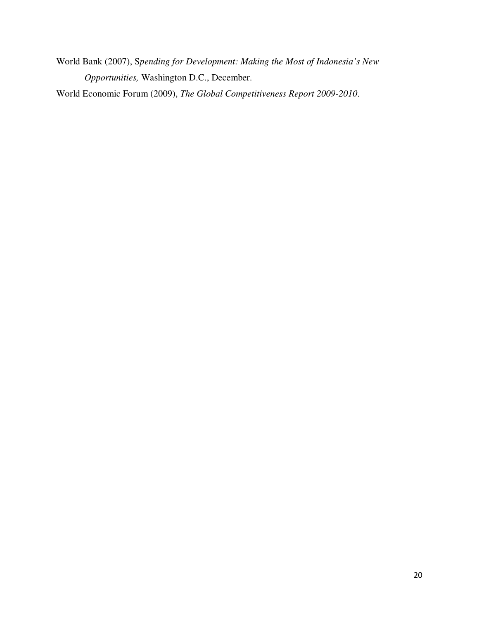World Bank (2007), S*pending for Development: Making the Most of Indonesia's New Opportunities,* Washington D.C., December.

World Economic Forum (2009), *The Global Competitiveness Report 2009-2010*.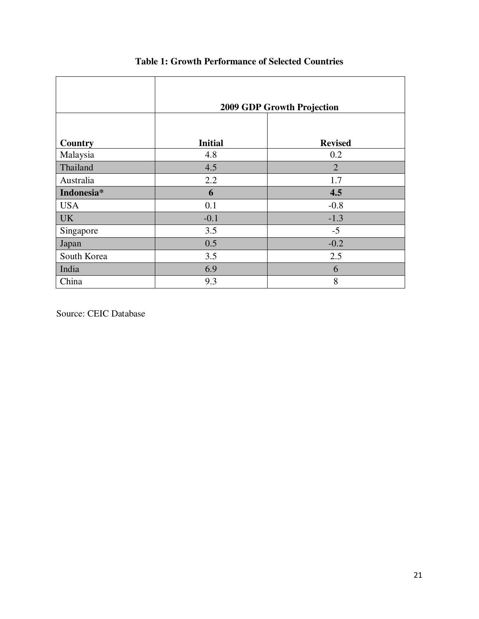|             | 2009 GDP Growth Projection |                |  |  |
|-------------|----------------------------|----------------|--|--|
| Country     | <b>Initial</b>             | <b>Revised</b> |  |  |
| Malaysia    | 4.8                        | 0.2            |  |  |
| Thailand    | 4.5                        | $\overline{2}$ |  |  |
| Australia   | 2.2                        | 1.7            |  |  |
| Indonesia*  | 6                          | 4.5            |  |  |
| <b>USA</b>  | 0.1                        | $-0.8$         |  |  |
| <b>UK</b>   | $-0.1$                     | $-1.3$         |  |  |
| Singapore   | 3.5                        | $-5$           |  |  |
| Japan       | 0.5                        | $-0.2$         |  |  |
| South Korea | 3.5                        | 2.5            |  |  |
| India       | 6.9                        | 6              |  |  |
| China       | 9.3                        | 8              |  |  |

### **Table 1: Growth Performance of Selected Countries**

Source: CEIC Database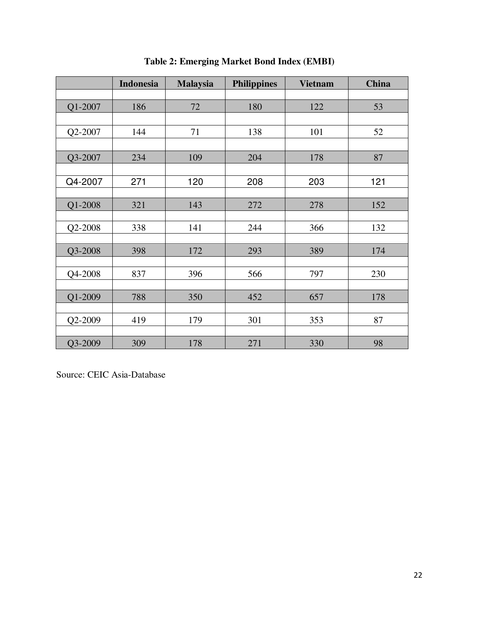|         | <b>Indonesia</b> | <b>Malaysia</b> | <b>Philippines</b> | <b>Vietnam</b> | <b>China</b> |
|---------|------------------|-----------------|--------------------|----------------|--------------|
|         |                  |                 |                    |                |              |
| Q1-2007 | 186              | 72              | 180                | 122            | 53           |
|         |                  |                 |                    |                |              |
| Q2-2007 | 144              | 71              | 138                | 101            | 52           |
|         |                  |                 |                    |                |              |
| Q3-2007 | 234              | 109             | 204                | 178            | 87           |
|         |                  |                 |                    |                |              |
| Q4-2007 | 271              | 120             | 208                | 203            | 121          |
|         |                  |                 |                    |                |              |
| Q1-2008 | 321              | 143             | 272                | 278            | 152          |
|         |                  |                 |                    |                |              |
| Q2-2008 | 338              | 141             | 244                | 366            | 132          |
|         |                  |                 |                    |                |              |
| Q3-2008 | 398              | 172             | 293                | 389            | 174          |
| Q4-2008 | 837              | 396             | 566                | 797            | 230          |
|         |                  |                 |                    |                |              |
| Q1-2009 | 788              | 350             | 452                | 657            | 178          |
|         |                  |                 |                    |                |              |
| Q2-2009 | 419              | 179             | 301                | 353            | 87           |
|         |                  |                 |                    |                |              |
| Q3-2009 | 309              | 178             | 271                | 330            | 98           |

**Table 2: Emerging Market Bond Index (EMBI)** 

Source: CEIC Asia-Database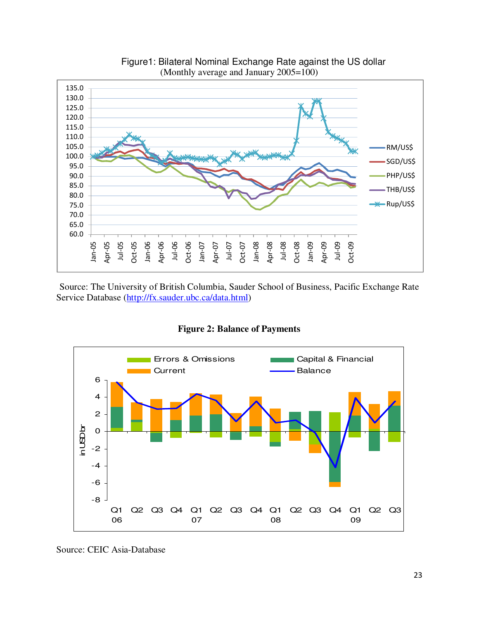

Figure1: Bilateral Nominal Exchange Rate against the US dollar (Monthly average and January 2005=100)

Source: The University of British Columbia, Sauder School of Business, Pacific Exchange Rate Service Database (http://fx.sauder.ubc.ca/data.html)

**Figure 2: Balance of Payments** 



Source: CEIC Asia-Database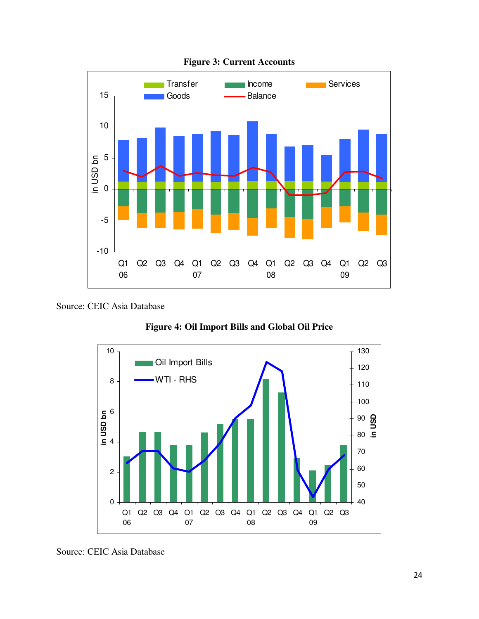

**Figure 3: Current Accounts** 

**Figure 4: Oil Import Bills and Global Oil Price** 



Source: CEIC Asia Database

Source: CEIC Asia Database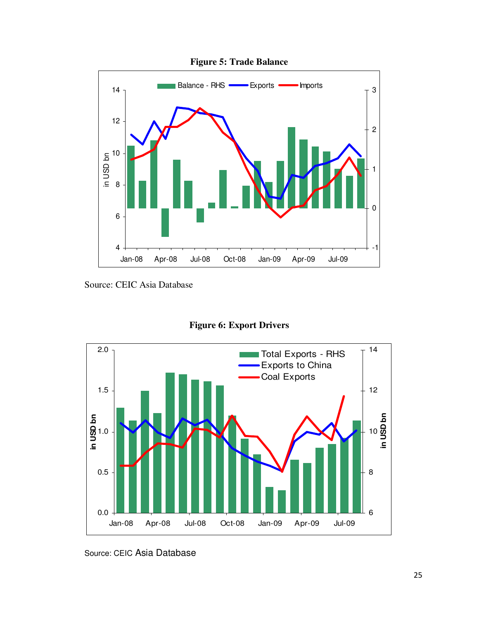

Source: CEIC Asia Database





Source: CEIC Asia Database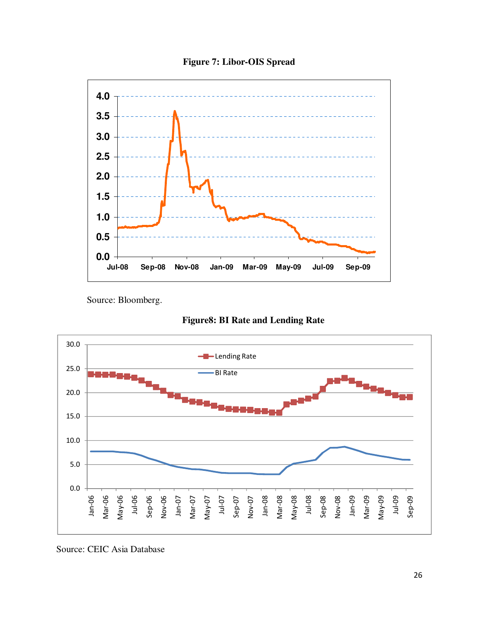**Figure 7: Libor-OIS Spread** 



Source: Bloomberg.





Source: CEIC Asia Database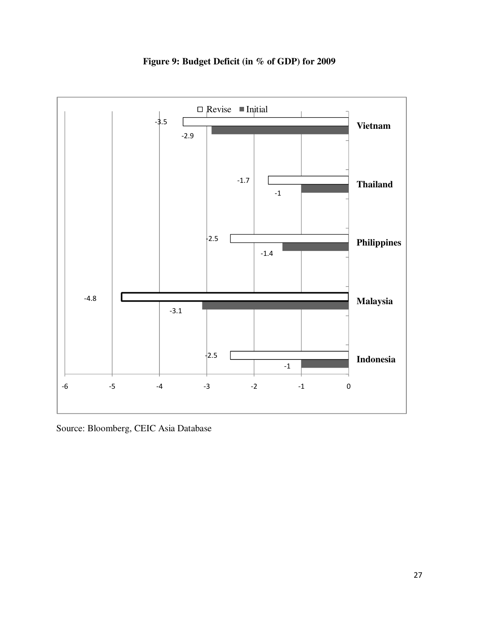

**Figure 9: Budget Deficit (in % of GDP) for 2009** 

Source: Bloomberg, CEIC Asia Database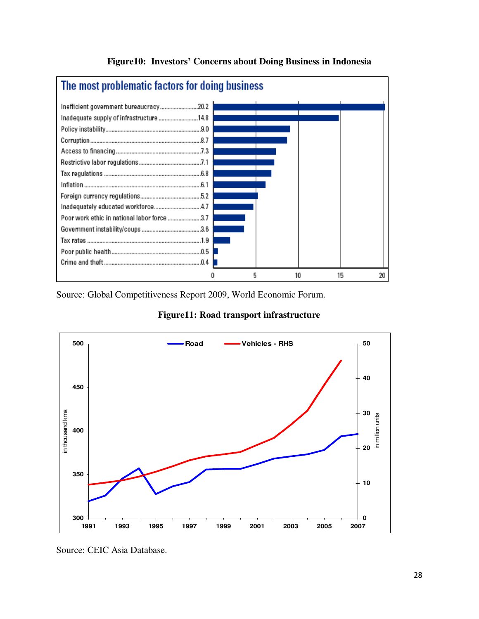

**Figure10: Investors' Concerns about Doing Business in Indonesia** 

Source: Global Competitiveness Report 2009, World Economic Forum.



**Figure11: Road transport infrastructure** 

Source: CEIC Asia Database.